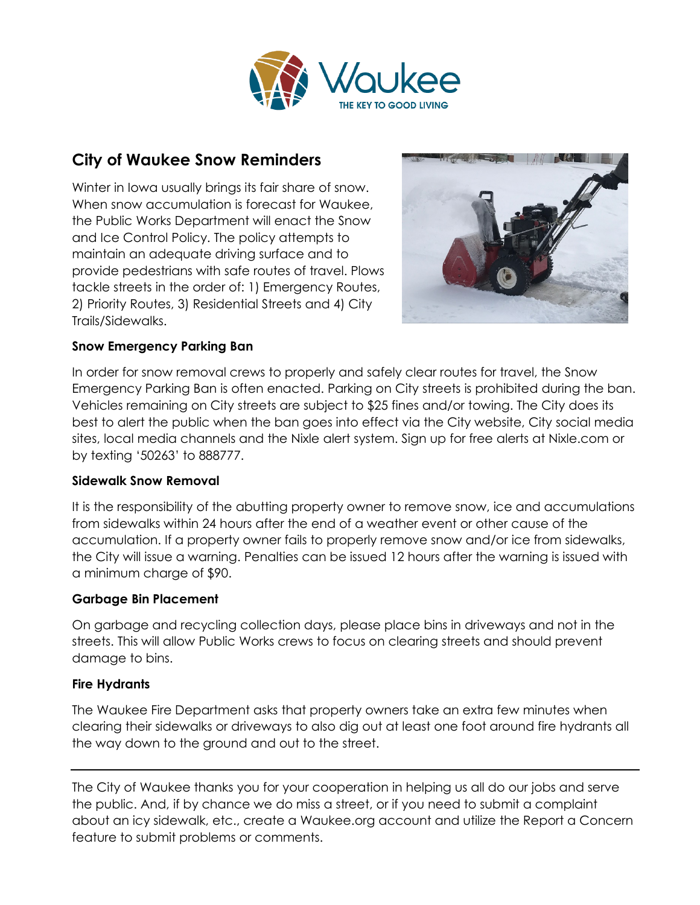

### **City of Waukee Snow Reminders**

Winter in Iowa usually brings its fair share of snow. When snow accumulation is forecast for Waukee, the Public Works Department will enact the Snow and Ice Control Policy. The policy attempts to maintain an adequate driving surface and to provide pedestrians with safe routes of travel. Plows tackle streets in the order of: 1) Emergency Routes, 2) Priority Routes, 3) Residential Streets and 4) City Trails/Sidewalks.



#### **Snow Emergency Parking Ban**

In order for snow removal crews to properly and safely clear routes for travel, the Snow Emergency Parking Ban is often enacted. Parking on City streets is prohibited during the ban. Vehicles remaining on City streets are subject to \$25 fines and/or towing. The City does its best to alert the public when the ban goes into effect via the City website, City social media sites, local media channels and the Nixle alert system. Sign up for free alerts at Nixle.com or by texting '50263' to 888777.

#### **Sidewalk Snow Removal**

It is the responsibility of the abutting property owner to remove snow, ice and accumulations from sidewalks within 24 hours after the end of a weather event or other cause of the accumulation. If a property owner fails to properly remove snow and/or ice from sidewalks, the City will issue a warning. Penalties can be issued 12 hours after the warning is issued with a minimum charge of \$90.

#### **Garbage Bin Placement**

On garbage and recycling collection days, please place bins in driveways and not in the streets. This will allow Public Works crews to focus on clearing streets and should prevent damage to bins.

#### **Fire Hydrants**

The Waukee Fire Department asks that property owners take an extra few minutes when clearing their sidewalks or driveways to also dig out at least one foot around fire hydrants all the way down to the ground and out to the street.

The City of Waukee thanks you for your cooperation in helping us all do our jobs and serve the public. And, if by chance we do miss a street, or if you need to submit a complaint about an icy sidewalk, etc., create a Waukee.org account and utilize the Report a Concern feature to submit problems or comments.